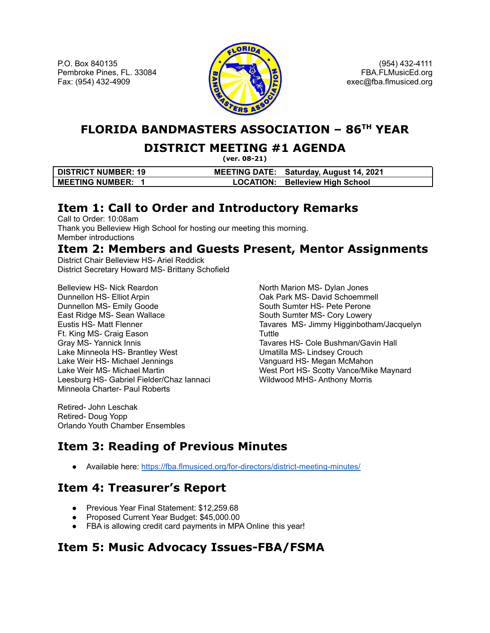P.O. Box 840135 Pembroke Pines, FL. 33084 Fax: (954) 432-4909



(954) 432-4111 FBA.FLMusicEd.org exec@fba.flmusiced.org

### **FLORIDA BANDMASTERS ASSOCIATION – 86 TH YEAR**

### **DISTRICT MEETING #1 AGENDA**

**(ver. 08-21)**

| <b>DISTRICT NUMBER: 19</b> | MEETING DATE: Saturday, August 14, 2021 |
|----------------------------|-----------------------------------------|
| <b>MEETING NUMBER:</b>     | <b>LOCATION: Belleview High School</b>  |

# **Item 1: Call to Order and Introductory Remarks**

Call to Order: 10:08am Thank you Belleview High School for hosting our meeting this morning. Member introductions

#### **Item 2: Members and Guests Present, Mentor Assignments**

District Chair Belleview HS- Ariel Reddick District Secretary Howard MS- Brittany Schofield

Belleview HS- Nick Reardon Dunnellon HS- Elliot Arpin Dunnellon MS- Emily Goode East Ridge MS- Sean Wallace Eustis HS- Matt Flenner Ft. King MS- Craig Eason Gray MS- Yannick Innis Lake Minneola HS- Brantley West Lake Weir HS- Michael Jennings Lake Weir MS- Michael Martin Leesburg HS- Gabriel Fielder/Chaz Iannaci Minneola Charter- Paul Roberts

Retired- John Leschak Retired- Doug Yopp Orlando Youth Chamber Ensembles

North Marion MS- Dylan Jones Oak Park MS- David Schoemmell South Sumter HS- Pete Perone South Sumter MS- Cory Lowery Tavares MS- Jimmy Higginbotham/Jacquelyn **Tuttle** Tavares HS- Cole Bushman/Gavin Hall Umatilla MS- Lindsey Crouch Vanguard HS- Megan McMahon West Port HS- Scotty Vance/Mike Maynard Wildwood MHS- Anthony Morris

## **Item 3: Reading of Previous Minutes**

● Available here: <https://fba.flmusiced.org/for-directors/district-meeting-minutes/>

## **Item 4: Treasurer's Report**

- Previous Year Final Statement: \$12,259.68
- Proposed Current Year Budget: \$45,000.00
- FBA is allowing credit card payments in MPA Online this year!

## **Item 5: Music Advocacy Issues-FBA/FSMA**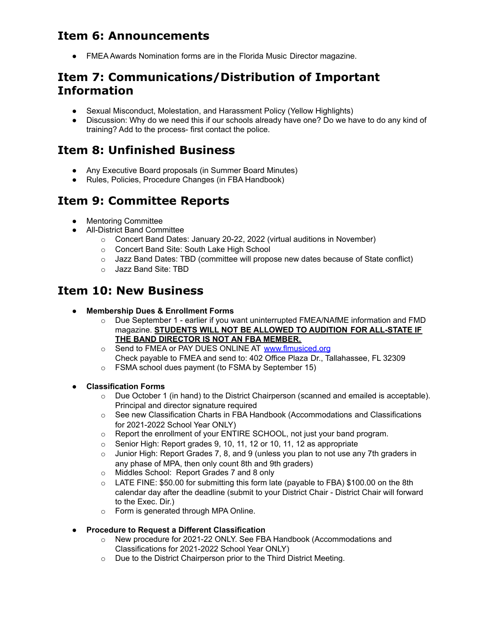## **Item 6: Announcements**

● FMEA Awards Nomination forms are in the Florida Music Director magazine.

## **Item 7: Communications/Distribution of Important Information**

- Sexual Misconduct, Molestation, and Harassment Policy (Yellow Highlights)
- Discussion: Why do we need this if our schools already have one? Do we have to do any kind of training? Add to the process- first contact the police.

## **Item 8: Unfinished Business**

- Any Executive Board proposals (in Summer Board Minutes)
- Rules, Policies, Procedure Changes (in FBA Handbook)

## **Item 9: Committee Reports**

- Mentoring Committee
- All-District Band Committee
	- o Concert Band Dates: January 20-22, 2022 (virtual auditions in November)
	- o Concert Band Site: South Lake High School
	- $\circ$  Jazz Band Dates: TBD (committee will propose new dates because of State conflict)
	- o Jazz Band Site: TBD

## **Item 10: New Business**

- **Membership Dues & Enrollment Forms**
	- $\circ$  Due September 1 earlier if you want uninterrupted FMEA/NAfME information and FMD magazine. **STUDENTS WILL NOT BE ALLOWED TO AUDITION FOR ALL-STATE IF THE BAND DIRECTOR IS NOT AN FBA MEMBER.**
	- o Send to FMEA or PAY DUES ONLINE AT [www.flmusiced.org](http://www.flmusiced.org) Check payable to FMEA and send to: 402 Office Plaza Dr., Tallahassee, FL 32309
	- o FSMA school dues payment (to FSMA by September 15)
- **Classification Forms**
	- o Due October 1 (in hand) to the District Chairperson (scanned and emailed is acceptable). Principal and director signature required
	- $\circ$  See new Classification Charts in FBA Handbook (Accommodations and Classifications for 2021-2022 School Year ONLY)
	- o Report the enrollment of your ENTIRE SCHOOL, not just your band program.
	- o Senior High: Report grades 9, 10, 11, 12 or 10, 11, 12 as appropriate
	- $\circ$  Junior High: Report Grades 7, 8, and 9 (unless you plan to not use any 7th graders in any phase of MPA, then only count 8th and 9th graders)
	- o Middles School: Report Grades 7 and 8 only
	- $\circ$  LATE FINE: \$50.00 for submitting this form late (payable to FBA) \$100.00 on the 8th calendar day after the deadline (submit to your District Chair - District Chair will forward to the Exec. Dir.)
	- o Form is generated through MPA Online.
- **Procedure to Request a Different Classification**
	- o New procedure for 2021-22 ONLY. See FBA Handbook (Accommodations and Classifications for 2021-2022 School Year ONLY)
	- o Due to the District Chairperson prior to the Third District Meeting.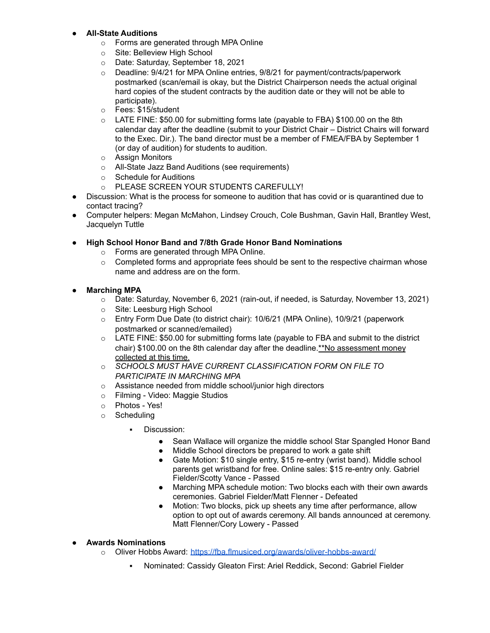- **All-State Auditions**
	- o Forms are generated through MPA Online
	- o Site: Belleview High School
	- o Date: Saturday, September 18, 2021
	- $\circ$  Deadline: 9/4/21 for MPA Online entries, 9/8/21 for payment/contracts/paperwork postmarked (scan/email is okay, but the District Chairperson needs the actual original hard copies of the student contracts by the audition date or they will not be able to participate).
	- o Fees: \$15/student
	- $\circ$  LATE FINE: \$50.00 for submitting forms late (payable to FBA) \$100.00 on the 8th calendar day after the deadline (submit to your District Chair – District Chairs will forward to the Exec. Dir.). The band director must be a member of FMEA/FBA by September 1 (or day of audition) for students to audition.
	- o Assign Monitors
	- o All-State Jazz Band Auditions (see requirements)
	- o Schedule for Auditions
	- o PLEASE SCREEN YOUR STUDENTS CAREFULLY!
- Discussion: What is the process for someone to audition that has covid or is quarantined due to contact tracing?
- Computer helpers: Megan McMahon, Lindsey Crouch, Cole Bushman, Gavin Hall, Brantley West, Jacquelyn Tuttle
- **High School Honor Band and 7/8th Grade Honor Band Nominations**
	- o Forms are generated through MPA Online.
	- o Completed forms and appropriate fees should be sent to the respective chairman whose name and address are on the form.
- **Marching MPA**
	- o Date: Saturday, November 6, 2021 (rain-out, if needed, is Saturday, November 13, 2021)
	- o Site: Leesburg High School
	- o Entry Form Due Date (to district chair): 10/6/21 (MPA Online), 10/9/21 (paperwork postmarked or scanned/emailed)
	- o LATE FINE: \$50.00 for submitting forms late (payable to FBA and submit to the district chair) \$100.00 on the 8th calendar day after the deadline.\*\*No assessment money collected at this time.
	- o *SCHOOLS MUST HAVE CURRENT CLASSIFICATION FORM ON FILE TO PARTICIPATE IN MARCHING MPA*
	- o Assistance needed from middle school/junior high directors
	- o Filming Video: Maggie Studios
	- o Photos Yes!
	- o Scheduling
		- Discussion:
			- Sean Wallace will organize the middle school Star Spangled Honor Band
			- Middle School directors be prepared to work a gate shift
			- Gate Motion: \$10 single entry, \$15 re-entry (wrist band). Middle school parents get wristband for free. Online sales: \$15 re-entry only. Gabriel Fielder/Scotty Vance - Passed
			- Marching MPA schedule motion: Two blocks each with their own awards ceremonies. Gabriel Fielder/Matt Flenner - Defeated
			- Motion: Two blocks, pick up sheets any time after performance, allow option to opt out of awards ceremony. All bands announced at ceremony. Matt Flenner/Cory Lowery - Passed
- **Awards Nominations**
	- o Oliver Hobbs Award: <https://fba.flmusiced.org/awards/oliver-hobbs-award/>
		- Nominated: Cassidy Gleaton First: Ariel Reddick, Second: Gabriel Fielder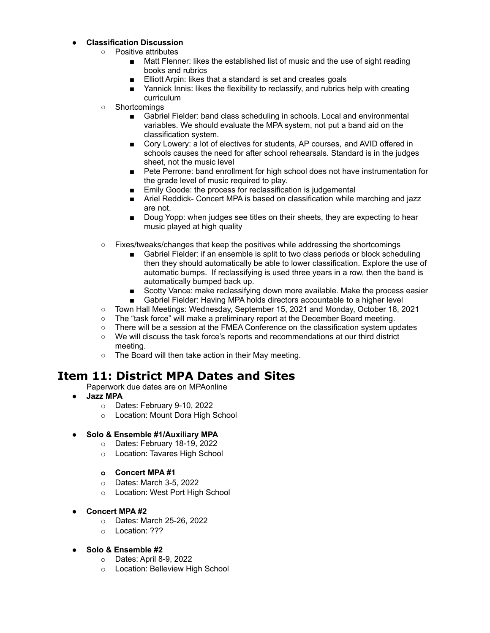#### **● Classification Discussion**

- Positive attributes
	- Matt Flenner: likes the established list of music and the use of sight reading books and rubrics
	- Elliott Arpin: likes that a standard is set and creates goals
	- Yannick Innis: likes the flexibility to reclassify, and rubrics help with creating curriculum
- Shortcomings
	- Gabriel Fielder: band class scheduling in schools. Local and environmental variables. We should evaluate the MPA system, not put a band aid on the classification system.
	- Cory Lowery: a lot of electives for students, AP courses, and AVID offered in schools causes the need for after school rehearsals. Standard is in the judges sheet, not the music level
	- Pete Perrone: band enrollment for high school does not have instrumentation for the grade level of music required to play.
	- Emily Goode: the process for reclassification is judgemental
	- Ariel Reddick- Concert MPA is based on classification while marching and jazz are not.
	- Doug Yopp: when judges see titles on their sheets, they are expecting to hear music played at high quality
- Fixes/tweaks/changes that keep the positives while addressing the shortcomings
	- Gabriel Fielder: if an ensemble is split to two class periods or block scheduling then they should automatically be able to lower classification. Explore the use of automatic bumps. If reclassifying is used three years in a row, then the band is automatically bumped back up.
	- Scotty Vance: make reclassifying down more available. Make the process easier
	- Gabriel Fielder: Having MPA holds directors accountable to a higher level
- Town Hall Meetings: Wednesday, September 15, 2021 and Monday, October 18, 2021
- $\circ$  The "task force" will make a preliminary report at the December Board meeting.
- $\circ$  There will be a session at the FMEA Conference on the classification system updates
- We will discuss the task force's reports and recommendations at our third district meeting.
- The Board will then take action in their May meeting.

### **Item 11: District MPA Dates and Sites**

Paperwork due dates are on MPAonline

- **● Jazz MPA**
	- o Dates: February 9-10, 2022
	- o Location: Mount Dora High School

#### **● Solo & Ensemble #1/Auxiliary MPA**

- o Dates: February 18-19, 2022
- o Location: Tavares High School
- **o Concert MPA #1**
- o Dates: March 3-5, 2022
- o Location: West Port High School
- **● Concert MPA #2**
	- o Dates: March 25-26, 2022
	- o Location: ???
- **● Solo & Ensemble #2**
	- o Dates: April 8-9, 2022
	- o Location: Belleview High School